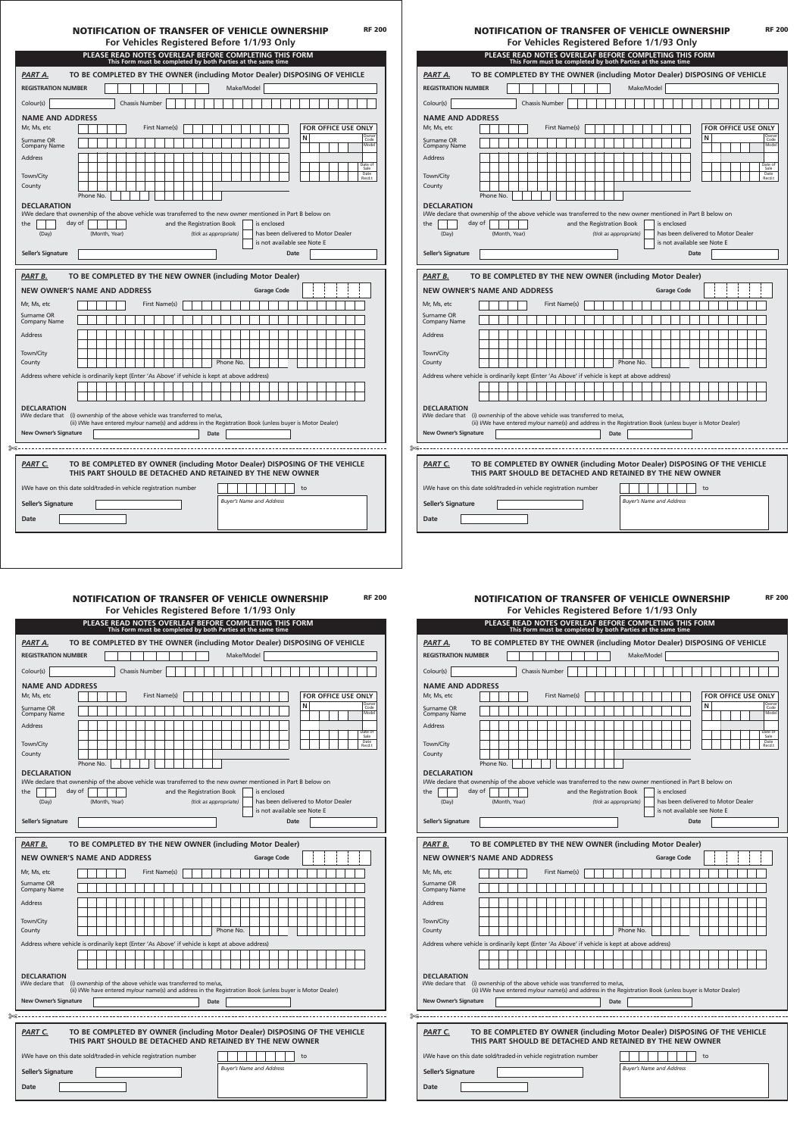# NOTIFICATION OF TRANSFER OF VEHICLE OWNERSHIP

| For Vehicles Registered Before 1/1/93 Only |  |  |
|--------------------------------------------|--|--|
|--------------------------------------------|--|--|

|                                                                                                                | PLEASE READ NOTES OVERLEAF BEFORE COMPLETING THIS FORM                                                                                   |               | This Form must be completed by both Parties at the same time |               |                           |  |             |                                 |            |                    |  |                                    |    |                     |  |  |                 |
|----------------------------------------------------------------------------------------------------------------|------------------------------------------------------------------------------------------------------------------------------------------|---------------|--------------------------------------------------------------|---------------|---------------------------|--|-------------|---------------------------------|------------|--------------------|--|------------------------------------|----|---------------------|--|--|-----------------|
| PART A.                                                                                                        | TO BE COMPLETED BY THE OWNER (including Motor Dealer) DISPOSING OF VEHICLE                                                               |               |                                                              |               |                           |  |             |                                 |            |                    |  |                                    |    |                     |  |  |                 |
| <b>REGISTRATION NUMBER</b>                                                                                     |                                                                                                                                          |               |                                                              |               |                           |  |             |                                 | Make/Model |                    |  |                                    |    |                     |  |  |                 |
| Colour(s)                                                                                                      |                                                                                                                                          |               | <b>Chassis Number</b>                                        |               |                           |  |             |                                 |            |                    |  |                                    |    |                     |  |  |                 |
| <b>NAME AND ADDRESS</b>                                                                                        |                                                                                                                                          |               |                                                              |               |                           |  |             |                                 |            |                    |  |                                    |    |                     |  |  |                 |
| Mr, Ms, etc                                                                                                    |                                                                                                                                          |               |                                                              | First Name(s) |                           |  |             |                                 |            |                    |  |                                    |    | FOR OFFICE USE ONLY |  |  | Owner           |
| Surname OR<br><b>Company Name</b>                                                                              |                                                                                                                                          |               |                                                              |               |                           |  |             |                                 |            |                    |  |                                    | N  |                     |  |  | Code<br>Model   |
| <b>Address</b>                                                                                                 |                                                                                                                                          |               |                                                              |               |                           |  |             |                                 |            |                    |  |                                    |    |                     |  |  | Date of<br>Sale |
| Town/City                                                                                                      |                                                                                                                                          |               |                                                              |               |                           |  |             |                                 |            |                    |  |                                    |    |                     |  |  | Date<br>Recd.t  |
| County                                                                                                         |                                                                                                                                          |               |                                                              |               |                           |  |             |                                 |            |                    |  |                                    |    |                     |  |  |                 |
| <b>DECLARATION</b>                                                                                             | Phone No.                                                                                                                                |               |                                                              |               |                           |  |             |                                 |            |                    |  |                                    |    |                     |  |  |                 |
| I/We declare that ownership of the above vehicle was transferred to the new owner mentioned in Part B below on |                                                                                                                                          |               |                                                              |               |                           |  |             |                                 |            |                    |  |                                    |    |                     |  |  |                 |
| the                                                                                                            | day of                                                                                                                                   |               |                                                              |               | and the Registration Book |  |             |                                 |            | is enclosed        |  |                                    |    |                     |  |  |                 |
| (Day)                                                                                                          |                                                                                                                                          | (Month, Year) |                                                              |               |                           |  |             | (tick as appropriate)           |            |                    |  | has been delivered to Motor Dealer |    |                     |  |  |                 |
|                                                                                                                |                                                                                                                                          |               |                                                              |               |                           |  |             |                                 |            |                    |  | is not available see Note E        |    |                     |  |  |                 |
| <b>Seller's Signature</b>                                                                                      |                                                                                                                                          |               |                                                              |               |                           |  |             |                                 |            |                    |  | <b>Date</b>                        |    |                     |  |  |                 |
| <b>NEW OWNER'S NAME AND ADDRESS</b>                                                                            | TO BE COMPLETED BY THE NEW OWNER (including Motor Dealer)                                                                                |               |                                                              |               |                           |  |             |                                 |            | <b>Garage Code</b> |  |                                    |    |                     |  |  |                 |
| <b>PART B.</b><br>Mr, Ms, etc                                                                                  |                                                                                                                                          |               |                                                              | First Name(s) |                           |  |             |                                 |            |                    |  |                                    |    |                     |  |  |                 |
| Surname OR<br><b>Company Name</b>                                                                              |                                                                                                                                          |               |                                                              |               |                           |  |             |                                 |            |                    |  |                                    |    |                     |  |  |                 |
| <b>Address</b>                                                                                                 |                                                                                                                                          |               |                                                              |               |                           |  |             |                                 |            |                    |  |                                    |    |                     |  |  |                 |
|                                                                                                                |                                                                                                                                          |               |                                                              |               |                           |  |             |                                 |            |                    |  |                                    |    |                     |  |  |                 |
|                                                                                                                |                                                                                                                                          |               |                                                              |               |                           |  |             | Phone No.                       |            |                    |  |                                    |    |                     |  |  |                 |
| Town/City<br>County                                                                                            |                                                                                                                                          |               |                                                              |               |                           |  |             |                                 |            |                    |  |                                    |    |                     |  |  |                 |
| Address where vehicle is ordinarily kept (Enter 'As Above' if vehicle is kept at above address)                |                                                                                                                                          |               |                                                              |               |                           |  |             |                                 |            |                    |  |                                    |    |                     |  |  |                 |
|                                                                                                                |                                                                                                                                          |               |                                                              |               |                           |  |             |                                 |            |                    |  |                                    |    |                     |  |  |                 |
| <b>DECLARATION</b><br>I/We declare that (i) ownership of the above vehicle was transferred to me/us,           |                                                                                                                                          |               |                                                              |               |                           |  |             |                                 |            |                    |  |                                    |    |                     |  |  |                 |
|                                                                                                                | (ii) I/We have entered my/our name(s) and address in the Registration Book (unless buyer is Motor Dealer)                                |               |                                                              |               |                           |  |             |                                 |            |                    |  |                                    |    |                     |  |  |                 |
| <b>New Owner's Signature</b>                                                                                   |                                                                                                                                          |               |                                                              |               |                           |  | <b>Date</b> |                                 |            |                    |  |                                    |    |                     |  |  |                 |
|                                                                                                                |                                                                                                                                          |               |                                                              |               |                           |  |             |                                 |            |                    |  |                                    |    |                     |  |  |                 |
| <b>PART C.</b>                                                                                                 | TO BE COMPLETED BY OWNER (including Motor Dealer) DISPOSING OF THE VEHICLE<br>THIS PART SHOULD BE DETACHED AND RETAINED BY THE NEW OWNER |               |                                                              |               |                           |  |             |                                 |            |                    |  |                                    |    |                     |  |  |                 |
| I/We have on this date sold/traded-in vehicle registration number                                              |                                                                                                                                          |               |                                                              |               |                           |  |             |                                 |            |                    |  |                                    | to |                     |  |  |                 |
| <b>Seller's Signature</b>                                                                                      |                                                                                                                                          |               |                                                              |               |                           |  |             | <b>Buyer's Name and Address</b> |            |                    |  |                                    |    |                     |  |  |                 |